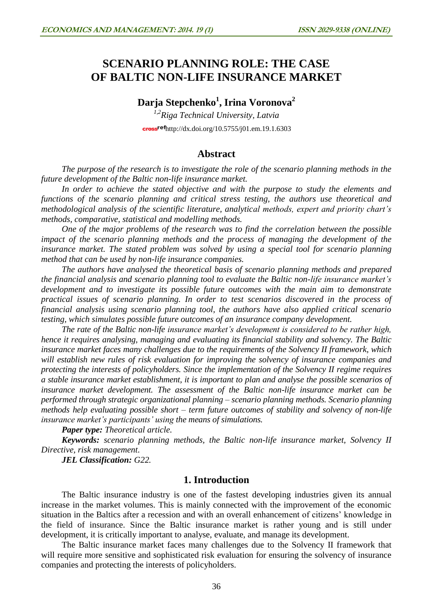# **SCENARIO PLANNING ROLE: THE CASE OF BALTIC NON-LIFE INSURANCE MARKET**

**Darja Stepchenko<sup>1</sup> , Irina Voronova<sup>2</sup>**

*1,2Riga Technical University, Latvia* cross<sup>ref</sup><http://dx.doi.org/10.5755/j01.em.19.1.6303>

## **Abstract**

*The purpose of the research is to investigate the role of the scenario planning methods in the future development of the Baltic non-life insurance market.*

*In order to achieve the stated objective and with the purpose to study the elements and functions of the scenario planning and critical stress testing, the authors use theoretical and methodological analysis of the scientific literature, analytical methods, expert and priority chart's methods, comparative, statistical and modelling methods.*

*One of the major problems of the research was to find the correlation between the possible impact of the scenario planning methods and the process of managing the development of the insurance market. The stated problem was solved by using a special tool for scenario planning method that can be used by non-life insurance companies.*

*The authors have analysed the theoretical basis of scenario planning methods and prepared the financial analysis and scenario planning tool to evaluate the Baltic non-life insurance market's development and to investigate its possible future outcomes with the main aim to demonstrate practical issues of scenario planning. In order to test scenarios discovered in the process of financial analysis using scenario planning tool, the authors have also applied critical scenario testing, which simulates possible future outcomes of an insurance company development.*

*The rate of the Baltic non-life insurance market's development is considered to be rather high, hence it requires analysing, managing and evaluating its financial stability and solvency. The Baltic insurance market faces many challenges due to the requirements of the Solvency II framework, which will establish new rules of risk evaluation for improving the solvency of insurance companies and protecting the interests of policyholders. Since the implementation of the Solvency II regime requires a stable insurance market establishment, it is important to plan and analyse the possible scenarios of insurance market development. The assessment of the Baltic non-life insurance market can be performed through strategic organizational planning – scenario planning methods. Scenario planning methods help evaluating possible short – term future outcomes of stability and solvency of non-life insurance market's participants' using the means of simulations.* 

*Paper type: Theoretical article.*

*Keywords: scenario planning methods, the Baltic non-life insurance market, Solvency II Directive, risk management.*

*JEL Classification: G22.*

#### **1. Introduction**

The Baltic insurance industry is one of the fastest developing industries given its annual increase in the market volumes. This is mainly connected with the improvement of the economic situation in the Baltics after a recession and with an overall enhancement of citizens' knowledge in the field of insurance. Since the Baltic insurance market is rather young and is still under development, it is critically important to analyse, evaluate, and manage its development.

The Baltic insurance market faces many challenges due to the Solvency II framework that will require more sensitive and sophisticated risk evaluation for ensuring the solvency of insurance companies and protecting the interests of policyholders.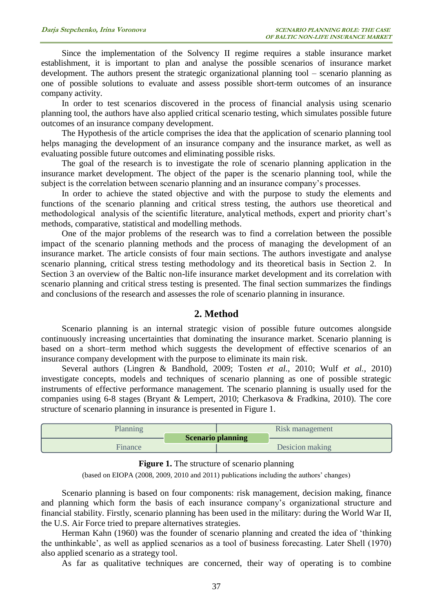Since the implementation of the Solvency II regime requires a stable insurance market establishment, it is important to plan and analyse the possible scenarios of insurance market development. The authors present the strategic organizational planning tool – scenario planning as one of possible solutions to evaluate and assess possible short-term outcomes of an insurance company activity.

In order to test scenarios discovered in the process of financial analysis using scenario planning tool, the authors have also applied critical scenario testing, which simulates possible future outcomes of an insurance company development.

The Hypothesis of the article comprises the idea that the application of scenario planning tool helps managing the development of an insurance company and the insurance market, as well as evaluating possible future outcomes and eliminating possible risks.

The goal of the research is to investigate the role of scenario planning application in the insurance market development. The object of the paper is the scenario planning tool, while the subject is the correlation between scenario planning and an insurance company's processes.

In order to achieve the stated objective and with the purpose to study the elements and functions of the scenario planning and critical stress testing, the authors use theoretical and methodological analysis of the scientific literature, analytical methods, expert and priority chart's methods, comparative, statistical and modelling methods.

One of the major problems of the research was to find a correlation between the possible impact of the scenario planning methods and the process of managing the development of an insurance market. The article consists of four main sections. The authors investigate and analyse scenario planning, critical stress testing methodology and its theoretical basis in Section 2. In Section 3 an overview of the Baltic non-life insurance market development and its correlation with scenario planning and critical stress testing is presented. The final section summarizes the findings and conclusions of the research and assesses the role of scenario planning in insurance.

## **2. Method**

Scenario planning is an internal strategic vision of possible future outcomes alongside continuously increasing uncertainties that dominating the insurance market. Scenario planning is based on a short–term method which suggests the development of effective scenarios of an insurance company development with the purpose to eliminate its main risk.

Several authors (Lingren & Bandhold, 2009; Tosten *et al.*, 2010; Wulf *et al.*, 2010) investigate concepts, models and techniques of scenario planning as one of possible strategic instruments of effective performance management. The scenario planning is usually used for the companies using 6-8 stages (Bryant & Lempert, 2010; Cherkasova & Fradkina, 2010). The core structure of scenario planning in insurance is presented in Figure 1.

| Planning | <b>Scenario planning</b> |  | Risk management |  |  |
|----------|--------------------------|--|-----------------|--|--|
|          |                          |  |                 |  |  |
| Finance  |                          |  | Desicion making |  |  |

**Figure 1.** The structure of scenario planning

(based on EIOPA (2008, 2009, 2010 and 2011) publications including the authors' changes)

Scenario planning is based on four components: risk management, decision making, finance and planning which form the basis of each insurance company's organizational structure and financial stability. Firstly, scenario planning has been used in the military: during the World War II, the U.S. Air Force tried to prepare alternatives strategies.

Herman Kahn (1960) was the founder of scenario planning and created the idea of 'thinking the unthinkable', as well as applied scenarios as a tool of business forecasting. Later Shell (1970) also applied scenario as a strategy tool.

As far as qualitative techniques are concerned, their way of operating is to combine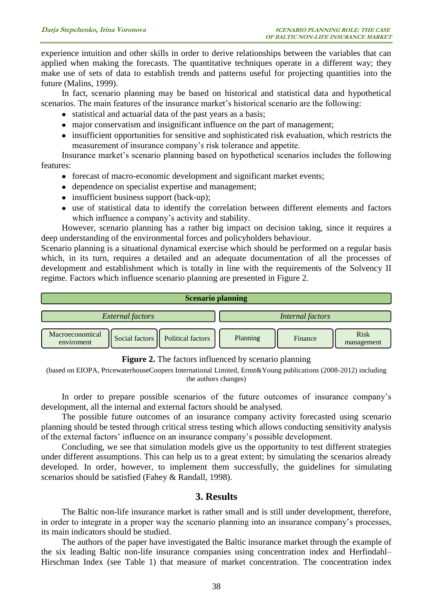experience intuition and other skills in order to derive relationships between the variables that can applied when making the forecasts. The quantitative techniques operate in a different way; they make use of sets of data to establish trends and patterns useful for projecting quantities into the future (Malins, 1999).

In fact, scenario planning may be based on historical and statistical data and hypothetical scenarios. The main features of the insurance market's historical scenario are the following:

- statistical and actuarial data of the past years as a basis;
- major conservatism and insignificant influence on the part of management;
- insufficient opportunities for sensitive and sophisticated risk evaluation, which restricts the measurement of insurance company's risk tolerance and appetite.

Insurance market's scenario planning based on hypothetical scenarios includes the following features:

- forecast of macro-economic development and significant market events;
- dependence on specialist expertise and management;
- insufficient business support (back-up);
- use of statistical data to identify the correlation between different elements and factors which influence a company's activity and stability.

However, scenario planning has a rather big impact on decision taking, since it requires a deep understanding of the environmental forces and policyholders behaviour.

Scenario planning is a situational dynamical exercise which should be performed on a regular basis which, in its turn, requires a detailed and an adequate documentation of all the processes of development and establishment which is totally in line with the requirements of the Solvency II regime. Factors which influence scenario planning are presented in Figure 2.



**Figure 2.** The factors influenced by scenario planning

(based on EIOPA, PricewaterhouseCoopers International Limited, Ernst&Young publications (2008-2012) including the authors changes)

In order to prepare possible scenarios of the future outcomes of insurance company's development, all the internal and external factors should be analysed.

The possible future outcomes of an insurance company activity forecasted using scenario planning should be tested through critical stress testing which allows conducting sensitivity analysis of the external factors' influence on an insurance company's possible development.

Concluding, we see that simulation models give us the opportunity to test different strategies under different assumptions. This can help us to a great extent; by simulating the scenarios already developed. In order, however, to implement them successfully, the guidelines for simulating scenarios should be satisfied (Fahey & Randall, 1998).

## **3. Results**

The Baltic non-life insurance market is rather small and is still under development, therefore, in order to integrate in a proper way the scenario planning into an insurance company's processes, its main indicators should be studied.

The authors of the paper have investigated the Baltic insurance market through the example of the six leading Baltic non-life insurance companies using concentration index and Herfindahl– Hirschman Index (see Table 1) that measure of market concentration. The concentration index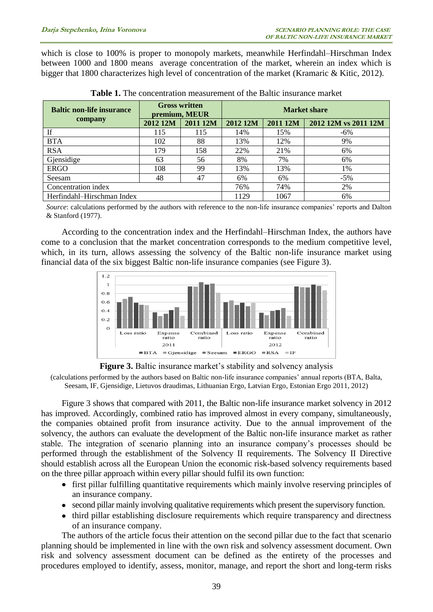which is close to 100% is proper to monopoly markets, meanwhile Herfindahl–Hirschman Index between 1000 and 1800 means average concentration of the market, wherein an index which is bigger that 1800 characterizes high level of concentration of the market (Kramaric & Kitic, 2012).

| <b>Baltic non-life insurance</b><br>company | <b>Gross written</b><br>premium, MEUR |          | <b>Market share</b> |          |                      |
|---------------------------------------------|---------------------------------------|----------|---------------------|----------|----------------------|
|                                             | 2012 12M                              | 2011 12M | 2012 12M            | 2011 12M | 2012 12M vs 2011 12M |
| If                                          | 115                                   | 115      | 14%                 | 15%      | $-6\%$               |
| <b>BTA</b>                                  | 102                                   | 88       | 13%                 | 12%      | 9%                   |
| <b>RSA</b>                                  | 179                                   | 158      | 22%                 | 21%      | 6%                   |
| Gjensidige                                  | 63                                    | 56       | 8%                  | 7%       | 6%                   |
| <b>ERGO</b>                                 | 108                                   | 99       | 13%                 | 13%      | 1%                   |
| Seesam                                      | 48                                    | 47       | 6%                  | 6%       | $-5%$                |
| Concentration index                         |                                       |          | 76%                 | 74%      | 2%                   |
| Herfindahl-Hirschman Index                  |                                       | 1129     | 1067                | 6%       |                      |

**Table 1.** The concentration measurement of the Baltic insurance market

*Source*: calculations performed by the authors with reference to the non-life insurance companies' reports and Dalton & Stanford (1977).

According to the concentration index and the Herfindahl–Hirschman Index, the authors have come to a conclusion that the market concentration corresponds to the medium competitive level, which, in its turn, allows assessing the solvency of the Baltic non-life insurance market using financial data of the six biggest Baltic non-life insurance companies (see Figure 3).



**Figure 3.** Baltic insurance market's stability and solvency analysis

(calculations performed by the authors based on Baltic non-life insurance companies' annual reports (BTA, Balta, Seesam, IF, Gjensidige, Lietuvos draudimas, Lithuanian Ergo, Latvian Ergo, Estonian Ergo 2011, 2012)

Figure 3 shows that compared with 2011, the Baltic non-life insurance market solvency in 2012 has improved. Accordingly, combined ratio has improved almost in every company, simultaneously, the companies obtained profit from insurance activity. Due to the annual improvement of the solvency, the authors can evaluate the development of the Baltic non-life insurance market as rather stable. The integration of scenario planning into an insurance company's processes should be performed through the establishment of the Solvency II requirements. The Solvency II Directive should establish across all the European Union the economic risk-based solvency requirements based on the three pillar approach within every pillar should fulfil its own function:

- first pillar fulfilling quantitative requirements which mainly involve reserving principles of an insurance company.
- second pillar mainly involving qualitative requirements which present the supervisory function.
- third pillar establishing disclosure requirements which require transparency and directness of an insurance company.

The authors of the article focus their attention on the second pillar due to the fact that scenario planning should be implemented in line with the own risk and solvency assessment document. Own risk and solvency assessment document can be defined as the entirety of the processes and procedures employed to identify, assess, monitor, manage, and report the short and long-term risks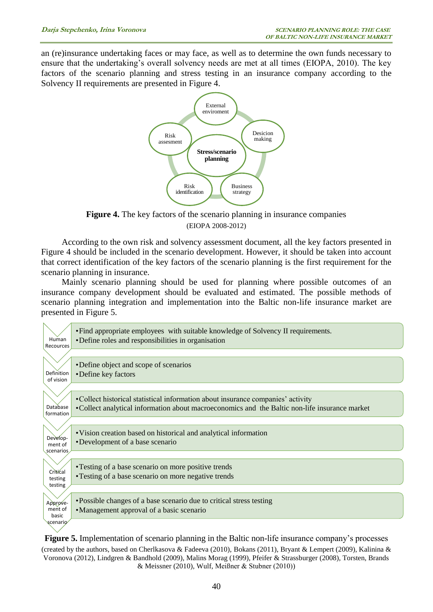an (re)insurance undertaking faces or may face, as well as to determine the own funds necessary to ensure that the undertaking's overall solvency needs are met at all times (EIOPA, 2010). The key factors of the scenario planning and stress testing in an insurance company according to the Solvency II requirements are presented in Figure 4.



**Figure 4.** The key factors of the scenario planning in insurance companies (EIOPA 2008-2012)

According to the own risk and solvency assessment document, all the key factors presented in Figure 4 should be included in the scenario development. However, it should be taken into account that correct identification of the key factors of the scenario planning is the first requirement for the scenario planning in insurance.

Mainly scenario planning should be used for planning where possible outcomes of an insurance company development should be evaluated and estimated. The possible methods of scenario planning integration and implementation into the Baltic non-life insurance market are presented in Figure 5.

| Human<br>Recources             | • Find appropriate employees with suitable knowledge of Solvency II requirements.<br>• Define roles and responsibilities in organisation |
|--------------------------------|------------------------------------------------------------------------------------------------------------------------------------------|
|                                |                                                                                                                                          |
| Definition<br>of vision        | • Define object and scope of scenarios<br>• Define key factors                                                                           |
|                                |                                                                                                                                          |
|                                | • Collect historical statistical information about insurance companies' activity                                                         |
| Database<br>formation          | • Collect analytical information about macroeconomics and the Baltic non-life insurance market                                           |
|                                |                                                                                                                                          |
| Develop-<br>ment of            | • Vision creation based on historical and analytical information<br>•Development of a base scenario                                      |
| scenarios                      |                                                                                                                                          |
| Critical<br>testing<br>testing | • Testing of a base scenario on more positive trends<br>• Testing of a base scenario on more negative trends                             |
|                                |                                                                                                                                          |
| Approve-<br>ment of<br>basic   | • Possible changes of a base scenario due to critical stress testing<br>• Management approval of a basic scenario                        |
| scenario                       |                                                                                                                                          |

**Figure 5.** Implementation of scenario planning in the Baltic non-life insurance company's processes

(created by the authors, based on Cherlkasova & Fadeeva (2010), Bokans (2011), Bryant & Lempert (2009), Kalinina & Voronova (2012), Lindgren & Bandhold (2009), Malins Morag (1999), Pfeifer & Strassburger (2008), Torsten, Brands & Meissner (2010), Wulf, Meißner & Stubner (2010))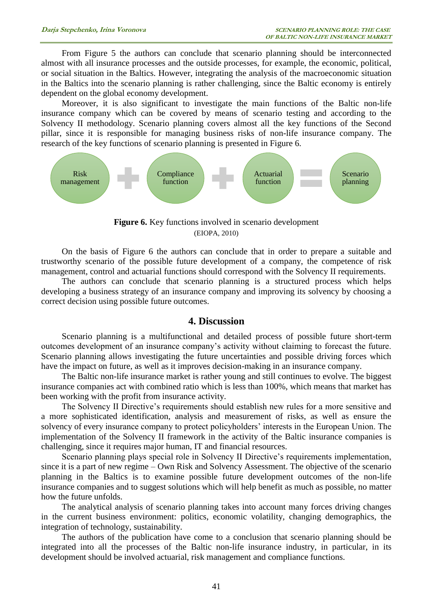From Figure 5 the authors can conclude that scenario planning should be interconnected almost with all insurance processes and the outside processes, for example, the economic, political, or social situation in the Baltics. However, integrating the analysis of the macroeconomic situation in the Baltics into the scenario planning is rather challenging, since the Baltic economy is entirely dependent on the global economy development.

Moreover, it is also significant to investigate the main functions of the Baltic non-life insurance company which can be covered by means of scenario testing and according to the Solvency II methodology. Scenario planning covers almost all the key functions of the Second pillar, since it is responsible for managing business risks of non-life insurance company. The research of the key functions of scenario planning is presented in Figure 6.



**Figure 6.** Key functions involved in scenario development (EIOPA, 2010)

On the basis of Figure 6 the authors can conclude that in order to prepare a suitable and trustworthy scenario of the possible future development of a company, the competence of risk management, control and actuarial functions should correspond with the Solvency II requirements.

The authors can conclude that scenario planning is a structured process which helps developing a business strategy of an insurance company and improving its solvency by choosing a correct decision using possible future outcomes.

#### **4. Discussion**

Scenario planning is a multifunctional and detailed process of possible future short-term outcomes development of an insurance company's activity without claiming to forecast the future. Scenario planning allows investigating the future uncertainties and possible driving forces which have the impact on future, as well as it improves decision-making in an insurance company.

The Baltic non-life insurance market is rather young and still continues to evolve. The biggest insurance companies act with combined ratio which is less than 100%, which means that market has been working with the profit from insurance activity.

The Solvency II Directive's requirements should establish new rules for a more sensitive and a more sophisticated identification, analysis and measurement of risks, as well as ensure the solvency of every insurance company to protect policyholders' interests in the European Union. The implementation of the Solvency II framework in the activity of the Baltic insurance companies is challenging, since it requires major human, IT and financial resources.

Scenario planning plays special role in Solvency II Directive's requirements implementation, since it is a part of new regime – Own Risk and Solvency Assessment. The objective of the scenario planning in the Baltics is to examine possible future development outcomes of the non-life insurance companies and to suggest solutions which will help benefit as much as possible, no matter how the future unfolds.

The analytical analysis of scenario planning takes into account many forces driving changes in the current business environment: politics, economic volatility, changing demographics, the integration of technology, sustainability.

The authors of the publication have come to a conclusion that scenario planning should be integrated into all the processes of the Baltic non-life insurance industry, in particular, in its development should be involved actuarial, risk management and compliance functions.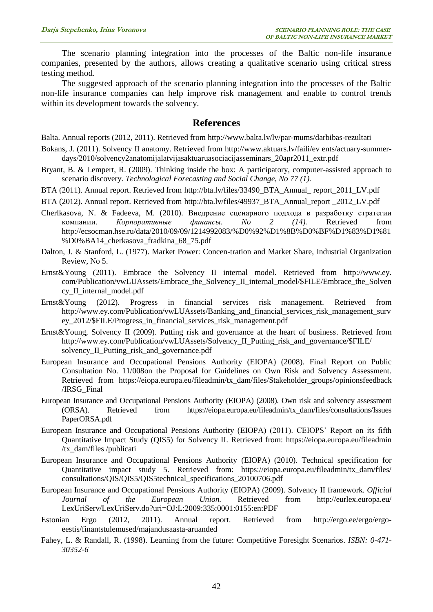The scenario planning integration into the processes of the Baltic non-life insurance companies, presented by the authors, allows creating a qualitative scenario using critical stress testing method.

The suggested approach of the scenario planning integration into the processes of the Baltic non-life insurance companies can help improve risk management and enable to control trends within its development towards the solvency.

#### **References**

Balta. Annual reports (2012, 2011). Retrieved from http://www.balta.lv/lv/par-mums/darbibas-rezultati

- Bokans, J. (2011). Solvency II anatomy. Retrieved from http://www.aktuars.lv/faili/ev ents/actuary-summerdays/2010/solvency2anatomijalatvijasaktuaruasociacijasseminars\_20apr2011\_extr.pdf
- Bryant, B. & Lempert, R. (2009). Thinking inside the box: A participatory, computer-assisted approach to scenario discovery*. Technological Forecasting and Social Change, No 77 (1).*
- BTA (2011). Annual report. Retrieved from http://bta.lv/files/33490\_BTA\_Annual\_ report\_2011\_LV.pdf

BTA (2012). Annual report. Retrieved from http://bta.lv/files/49937\_BTA\_Annual\_report \_2012\_LV.pdf

- Cherlkasova, N. & Fadeeva, M. (2010). Внедрение сценарного подхода в разработку стратегии компании. *Корпоративные финансы. No 2 (14).* Retrieved from http://ecsocman.hse.ru/data/2010/09/09/1214992083/%D0%92%D1%8B%D0%BF%D1%83%D1%81 %D0%BA14\_cherkasova\_fradkina\_68\_75.pdf
- Dalton, J. & Stanford, L. (1977). Market Power: Concen-tration and Market Share, Industrial Organization Review, No 5.
- Ernst&Young (2011). Embrace the Solvency II internal model. Retrieved from http://www.ey. com/Publication/vwLUAssets/Embrace\_the\_Solvency\_II\_internal\_model/\$FILE/Embrace\_the\_Solven cy\_II\_internal\_model.pdf
- Ernst&Young (2012). Progress in financial services risk management. Retrieved from http://www.ey.com/Publication/vwLUAssets/Banking\_and\_financial\_services\_risk\_management\_surv ey\_2012/\$FILE/Progress\_in\_financial\_services\_risk\_management.pdf
- Ernst&Young, Solvency II (2009). Putting risk and governance at the heart of business. Retrieved from http://www.ey.com/Publication/vwLUAssets/Solvency\_II\_Putting\_risk\_and\_governance/\$FILE/ solvency II Putting risk and governance.pdf
- European Insurance and Occupational Pensions Authority (EIOPA) (2008). Final Report on Public Consultation No. 11/008on the Proposal for Guidelines on Own Risk and Solvency Assessment. Retrieved from https://eiopa.europa.eu/fileadmin/tx\_dam/files/Stakeholder\_groups/opinionsfeedback /IRSG\_Final
- European Insurance and Occupational Pensions Authority (EIOPA) (2008). Own risk and solvency assessment (ORSA). Retrieved from https://eiopa.europa.eu/fileadmin/tx\_dam/files/consultations/Issues PaperORSA.pdf
- European Insurance and Occupational Pensions Authority (EIOPA) (2011). CEIOPS' Report on its fifth Quantitative Impact Study (QIS5) for Solvency II. Retrieved from: https://eiopa.europa.eu/fileadmin /tx\_dam/files /publicati
- European Insurance and Occupational Pensions Authority (EIOPA) (2010). Technical specification for Quantitative impact study 5. Retrieved from: https://eiopa.europa.eu/fileadmin/tx\_dam/files/ consultations/QIS/QIS5/QIS5technical\_specifications\_20100706.pdf
- European Insurance and Occupational Pensions Authority (EIOPA) (2009). Solvency II framework. *Official Journal of the European Union.* Retrieved from http://eurlex.europa.eu/ LexUriServ/LexUriServ.do?uri=OJ:L:2009:335:0001:0155:en:PDF
- Estonian Ergo (2012, 2011). Annual report. Retrieved from http://ergo.ee/ergo/ergoeestis/finantstulemused/majandusaasta-aruanded
- Fahey, L. & Randall, R. (1998). Learning from the future: Competitive Foresight Scenarios. *ISBN: 0-471- 30352-6*